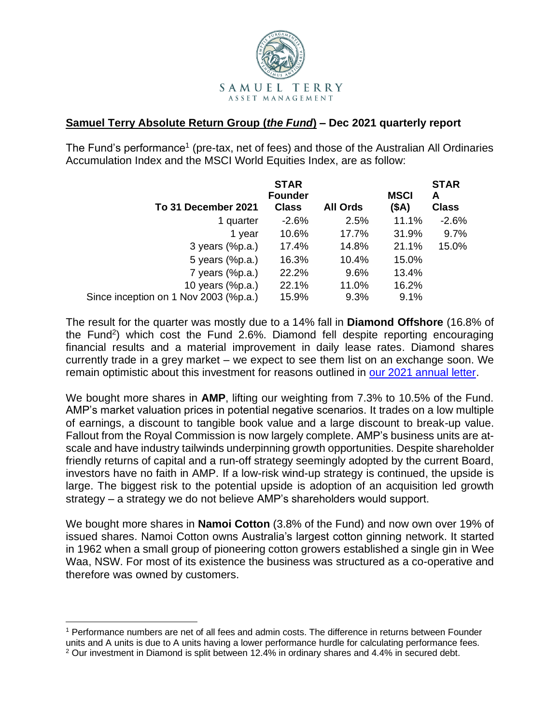

## **Samuel Terry Absolute Return Group (***the Fund***) – Dec 2021 quarterly report**

The Fund's performance<sup>1</sup> (pre-tax, net of fees) and those of the Australian All Ordinaries Accumulation Index and the MSCI World Equities Index, are as follow:

|                                       | <b>STAR</b><br><b>Founder</b> |                 | <b>MSCI</b> | <b>STAR</b><br>A |
|---------------------------------------|-------------------------------|-----------------|-------------|------------------|
| To 31 December 2021                   | <b>Class</b>                  | <b>All Ords</b> | (SA)        | <b>Class</b>     |
| 1 quarter                             | $-2.6%$                       | 2.5%            | 11.1%       | $-2.6%$          |
| 1 year                                | 10.6%                         | 17.7%           | 31.9%       | 9.7%             |
| $3$ years $(\%p.a.)$                  | 17.4%                         | 14.8%           | 21.1%       | 15.0%            |
| 5 years (%p.a.)                       | 16.3%                         | 10.4%           | 15.0%       |                  |
| 7 years $(\%p.a.)$                    | 22.2%                         | 9.6%            | 13.4%       |                  |
| 10 years (%p.a.)                      | 22.1%                         | 11.0%           | 16.2%       |                  |
| Since inception on 1 Nov 2003 (%p.a.) | 15.9%                         | 9.3%            | 9.1%        |                  |

The result for the quarter was mostly due to a 14% fall in **Diamond Offshore** (16.8% of the Fund<sup>2</sup>) which cost the Fund 2.6%. Diamond fell despite reporting encouraging financial results and a material improvement in daily lease rates. Diamond shares currently trade in a grey market – we expect to see them list on an exchange soon. We remain optimistic about this investment for reasons outlined in [our 2021 annual letter.](https://samuelterry.com.au/pdf-letters/2021-STAR-Fund-annual-letter.pdf)

We bought more shares in **AMP**, lifting our weighting from 7.3% to 10.5% of the Fund. AMP's market valuation prices in potential negative scenarios. It trades on a low multiple of earnings, a discount to tangible book value and a large discount to break-up value. Fallout from the Royal Commission is now largely complete. AMP's business units are atscale and have industry tailwinds underpinning growth opportunities. Despite shareholder friendly returns of capital and a run-off strategy seemingly adopted by the current Board, investors have no faith in AMP. If a low-risk wind-up strategy is continued, the upside is large. The biggest risk to the potential upside is adoption of an acquisition led growth strategy – a strategy we do not believe AMP's shareholders would support.

We bought more shares in **Namoi Cotton** (3.8% of the Fund) and now own over 19% of issued shares. Namoi Cotton owns Australia's largest cotton ginning network. It started in 1962 when a small group of pioneering cotton growers established a single gin in Wee Waa, NSW. For most of its existence the business was structured as a co-operative and therefore was owned by customers.

<sup>1</sup> Performance numbers are net of all fees and admin costs. The difference in returns between Founder units and A units is due to A units having a lower performance hurdle for calculating performance fees.

<sup>&</sup>lt;sup>2</sup> Our investment in Diamond is split between 12.4% in ordinary shares and 4.4% in secured debt.